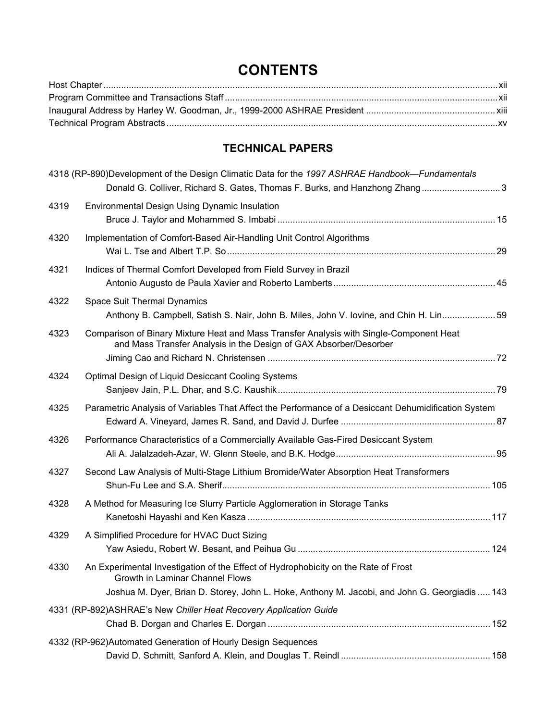## **CONTENTS**

## **TECHNICAL PAPERS**

|      | 4318 (RP-890)Development of the Design Climatic Data for the 1997 ASHRAE Handbook—Fundamentals<br>Donald G. Colliver, Richard S. Gates, Thomas F. Burks, and Hanzhong Zhang3                                           |  |
|------|------------------------------------------------------------------------------------------------------------------------------------------------------------------------------------------------------------------------|--|
| 4319 | Environmental Design Using Dynamic Insulation                                                                                                                                                                          |  |
| 4320 | Implementation of Comfort-Based Air-Handling Unit Control Algorithms                                                                                                                                                   |  |
| 4321 | Indices of Thermal Comfort Developed from Field Survey in Brazil                                                                                                                                                       |  |
| 4322 | Space Suit Thermal Dynamics<br>Anthony B. Campbell, Satish S. Nair, John B. Miles, John V. Iovine, and Chin H. Lin 59                                                                                                  |  |
| 4323 | Comparison of Binary Mixture Heat and Mass Transfer Analysis with Single-Component Heat<br>and Mass Transfer Analysis in the Design of GAX Absorber/Desorber                                                           |  |
| 4324 | Optimal Design of Liquid Desiccant Cooling Systems                                                                                                                                                                     |  |
| 4325 | Parametric Analysis of Variables That Affect the Performance of a Desiccant Dehumidification System                                                                                                                    |  |
| 4326 | Performance Characteristics of a Commercially Available Gas-Fired Desiccant System                                                                                                                                     |  |
| 4327 | Second Law Analysis of Multi-Stage Lithium Bromide/Water Absorption Heat Transformers                                                                                                                                  |  |
| 4328 | A Method for Measuring Ice Slurry Particle Agglomeration in Storage Tanks                                                                                                                                              |  |
| 4329 | A Simplified Procedure for HVAC Duct Sizing                                                                                                                                                                            |  |
| 4330 | An Experimental Investigation of the Effect of Hydrophobicity on the Rate of Frost<br>Growth in Laminar Channel Flows<br>Joshua M. Dyer, Brian D. Storey, John L. Hoke, Anthony M. Jacobi, and John G. Georgiadis  143 |  |
|      | 4331 (RP-892) ASHRAE's New Chiller Heat Recovery Application Guide                                                                                                                                                     |  |
|      | 4332 (RP-962)Automated Generation of Hourly Design Sequences                                                                                                                                                           |  |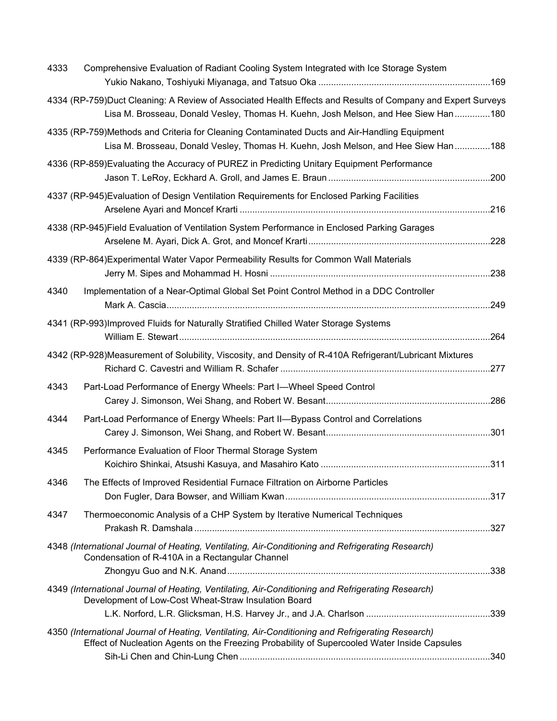| 4333 | Comprehensive Evaluation of Radiant Cooling System Integrated with Ice Storage System                                                                                                             |  |
|------|---------------------------------------------------------------------------------------------------------------------------------------------------------------------------------------------------|--|
|      | 4334 (RP-759)Duct Cleaning: A Review of Associated Health Effects and Results of Company and Expert Surveys<br>Lisa M. Brosseau, Donald Vesley, Thomas H. Kuehn, Josh Melson, and Hee Siew Han180 |  |
|      | 4335 (RP-759)Methods and Criteria for Cleaning Contaminated Ducts and Air-Handling Equipment<br>Lisa M. Brosseau, Donald Vesley, Thomas H. Kuehn, Josh Melson, and Hee Siew Han188                |  |
|      | 4336 (RP-859) Evaluating the Accuracy of PUREZ in Predicting Unitary Equipment Performance                                                                                                        |  |
|      | 4337 (RP-945) Evaluation of Design Ventilation Requirements for Enclosed Parking Facilities                                                                                                       |  |
|      | 4338 (RP-945)Field Evaluation of Ventilation System Performance in Enclosed Parking Garages                                                                                                       |  |
|      | 4339 (RP-864) Experimental Water Vapor Permeability Results for Common Wall Materials                                                                                                             |  |
| 4340 | Implementation of a Near-Optimal Global Set Point Control Method in a DDC Controller                                                                                                              |  |
|      | 4341 (RP-993)Improved Fluids for Naturally Stratified Chilled Water Storage Systems                                                                                                               |  |
|      | 4342 (RP-928)Measurement of Solubility, Viscosity, and Density of R-410A Refrigerant/Lubricant Mixtures                                                                                           |  |
| 4343 | Part-Load Performance of Energy Wheels: Part I-Wheel Speed Control                                                                                                                                |  |
| 4344 | Part-Load Performance of Energy Wheels: Part II-Bypass Control and Correlations                                                                                                                   |  |
| 4345 | Performance Evaluation of Floor Thermal Storage System                                                                                                                                            |  |
| 4346 | The Effects of Improved Residential Furnace Filtration on Airborne Particles                                                                                                                      |  |
| 4347 | Thermoeconomic Analysis of a CHP System by Iterative Numerical Techniques                                                                                                                         |  |
|      | 4348 (International Journal of Heating, Ventilating, Air-Conditioning and Refrigerating Research)<br>Condensation of R-410A in a Rectangular Channel                                              |  |
|      | 4349 (International Journal of Heating, Ventilating, Air-Conditioning and Refrigerating Research)<br>Development of Low-Cost Wheat-Straw Insulation Board                                         |  |
|      | 4350 (International Journal of Heating, Ventilating, Air-Conditioning and Refrigerating Research)<br>Effect of Nucleation Agents on the Freezing Probability of Supercooled Water Inside Capsules |  |
|      |                                                                                                                                                                                                   |  |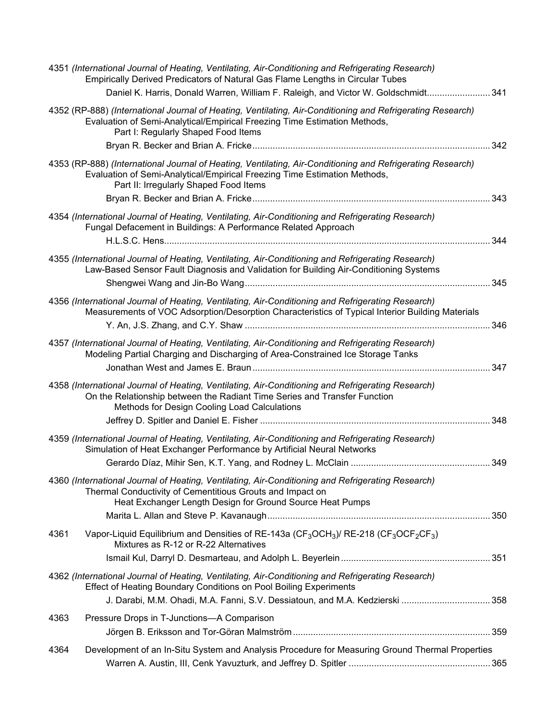| 4351 (International Journal of Heating, Ventilating, Air-Conditioning and Refrigerating Research)<br>Empirically Derived Predicators of Natural Gas Flame Lengths in Circular Tubes                                            | Daniel K. Harris, Donald Warren, William F. Raleigh, and Victor W. Goldschmidt 341                                                                |     |
|--------------------------------------------------------------------------------------------------------------------------------------------------------------------------------------------------------------------------------|---------------------------------------------------------------------------------------------------------------------------------------------------|-----|
| Evaluation of Semi-Analytical/Empirical Freezing Time Estimation Methods,<br>Part I: Regularly Shaped Food Items                                                                                                               | 4352 (RP-888) (International Journal of Heating, Ventilating, Air-Conditioning and Refrigerating Research)                                        |     |
|                                                                                                                                                                                                                                |                                                                                                                                                   | 342 |
| Evaluation of Semi-Analytical/Empirical Freezing Time Estimation Methods,<br>Part II: Irregularly Shaped Food Items                                                                                                            | 4353 (RP-888) (International Journal of Heating, Ventilating, Air-Conditioning and Refrigerating Research)                                        |     |
|                                                                                                                                                                                                                                |                                                                                                                                                   | 343 |
| 4354 (International Journal of Heating, Ventilating, Air-Conditioning and Refrigerating Research)<br>Fungal Defacement in Buildings: A Performance Related Approach                                                            |                                                                                                                                                   | 344 |
| 4355 (International Journal of Heating, Ventilating, Air-Conditioning and Refrigerating Research)                                                                                                                              |                                                                                                                                                   |     |
|                                                                                                                                                                                                                                | Law-Based Sensor Fault Diagnosis and Validation for Building Air-Conditioning Systems                                                             | 345 |
|                                                                                                                                                                                                                                |                                                                                                                                                   |     |
| 4356 (International Journal of Heating, Ventilating, Air-Conditioning and Refrigerating Research)                                                                                                                              | Measurements of VOC Adsorption/Desorption Characteristics of Typical Interior Building Materials                                                  |     |
|                                                                                                                                                                                                                                |                                                                                                                                                   | 346 |
| 4357 (International Journal of Heating, Ventilating, Air-Conditioning and Refrigerating Research)<br>Modeling Partial Charging and Discharging of Area-Constrained Ice Storage Tanks                                           |                                                                                                                                                   |     |
|                                                                                                                                                                                                                                |                                                                                                                                                   | 347 |
|                                                                                                                                                                                                                                |                                                                                                                                                   |     |
| 4358 (International Journal of Heating, Ventilating, Air-Conditioning and Refrigerating Research)<br>On the Relationship between the Radiant Time Series and Transfer Function<br>Methods for Design Cooling Load Calculations |                                                                                                                                                   |     |
|                                                                                                                                                                                                                                |                                                                                                                                                   | 348 |
| 4359 (International Journal of Heating, Ventilating, Air-Conditioning and Refrigerating Research)<br>Simulation of Heat Exchanger Performance by Artificial Neural Networks                                                    |                                                                                                                                                   |     |
|                                                                                                                                                                                                                                |                                                                                                                                                   | 349 |
| 4360 (International Journal of Heating, Ventilating, Air-Conditioning and Refrigerating Research)<br>Thermal Conductivity of Cementitious Grouts and Impact on                                                                 |                                                                                                                                                   |     |
| Heat Exchanger Length Design for Ground Source Heat Pumps                                                                                                                                                                      |                                                                                                                                                   |     |
|                                                                                                                                                                                                                                |                                                                                                                                                   |     |
| 4361<br>Mixtures as R-12 or R-22 Alternatives                                                                                                                                                                                  | Vapor-Liquid Equilibrium and Densities of RE-143a (CF <sub>3</sub> OCH <sub>3</sub> )/ RE-218 (CF <sub>3</sub> OCF <sub>2</sub> CF <sub>3</sub> ) |     |
|                                                                                                                                                                                                                                |                                                                                                                                                   |     |
| 4362 (International Journal of Heating, Ventilating, Air-Conditioning and Refrigerating Research)<br><b>Effect of Heating Boundary Conditions on Pool Boiling Experiments</b>                                                  |                                                                                                                                                   |     |
|                                                                                                                                                                                                                                | J. Darabi, M.M. Ohadi, M.A. Fanni, S.V. Dessiatoun, and M.A. Kedzierski  358                                                                      |     |
| Pressure Drops in T-Junctions-A Comparison<br>4363                                                                                                                                                                             |                                                                                                                                                   |     |
|                                                                                                                                                                                                                                |                                                                                                                                                   |     |
|                                                                                                                                                                                                                                |                                                                                                                                                   |     |
| 4364                                                                                                                                                                                                                           | Development of an In-Situ System and Analysis Procedure for Measuring Ground Thermal Properties                                                   |     |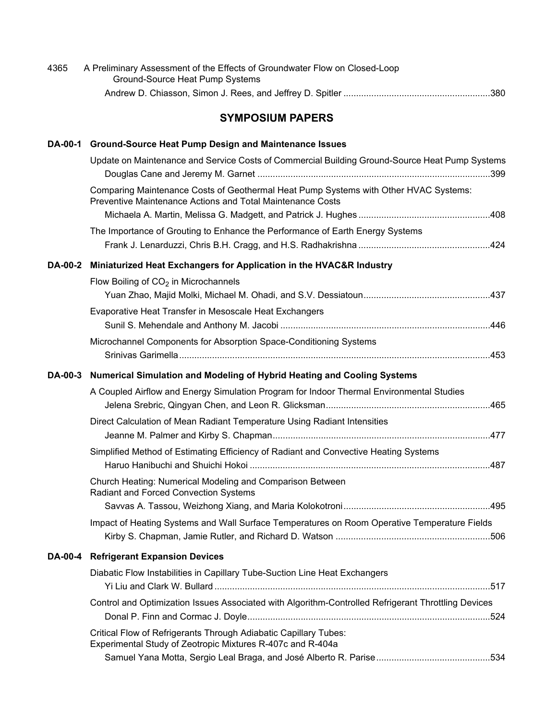| 4365           | A Preliminary Assessment of the Effects of Groundwater Flow on Closed-Loop<br>Ground-Source Heat Pump Systems                                      |  |
|----------------|----------------------------------------------------------------------------------------------------------------------------------------------------|--|
|                |                                                                                                                                                    |  |
|                | <b>SYMPOSIUM PAPERS</b>                                                                                                                            |  |
| <b>DA-00-1</b> | <b>Ground-Source Heat Pump Design and Maintenance Issues</b>                                                                                       |  |
|                | Update on Maintenance and Service Costs of Commercial Building Ground-Source Heat Pump Systems                                                     |  |
|                | Comparing Maintenance Costs of Geothermal Heat Pump Systems with Other HVAC Systems:<br>Preventive Maintenance Actions and Total Maintenance Costs |  |
|                |                                                                                                                                                    |  |
|                | The Importance of Grouting to Enhance the Performance of Earth Energy Systems                                                                      |  |
| <b>DA-00-2</b> | Miniaturized Heat Exchangers for Application in the HVAC&R Industry                                                                                |  |
|                | Flow Boiling of $CO2$ in Microchannels                                                                                                             |  |
|                |                                                                                                                                                    |  |
|                | Evaporative Heat Transfer in Mesoscale Heat Exchangers                                                                                             |  |
|                |                                                                                                                                                    |  |
|                | Microchannel Components for Absorption Space-Conditioning Systems                                                                                  |  |
| <b>DA-00-3</b> | Numerical Simulation and Modeling of Hybrid Heating and Cooling Systems                                                                            |  |
|                | A Coupled Airflow and Energy Simulation Program for Indoor Thermal Environmental Studies                                                           |  |
|                | Direct Calculation of Mean Radiant Temperature Using Radiant Intensities                                                                           |  |
|                | Simplified Method of Estimating Efficiency of Radiant and Convective Heating Systems                                                               |  |
|                | Church Heating: Numerical Modeling and Comparison Between<br>Radiant and Forced Convection Systems                                                 |  |
|                |                                                                                                                                                    |  |
|                | Impact of Heating Systems and Wall Surface Temperatures on Room Operative Temperature Fields                                                       |  |
| <b>DA-00-4</b> | <b>Refrigerant Expansion Devices</b>                                                                                                               |  |
|                | Diabatic Flow Instabilities in Capillary Tube-Suction Line Heat Exchangers                                                                         |  |
|                | Control and Optimization Issues Associated with Algorithm-Controlled Refrigerant Throttling Devices                                                |  |
|                | Critical Flow of Refrigerants Through Adiabatic Capillary Tubes:<br>Experimental Study of Zeotropic Mixtures R-407c and R-404a                     |  |
|                |                                                                                                                                                    |  |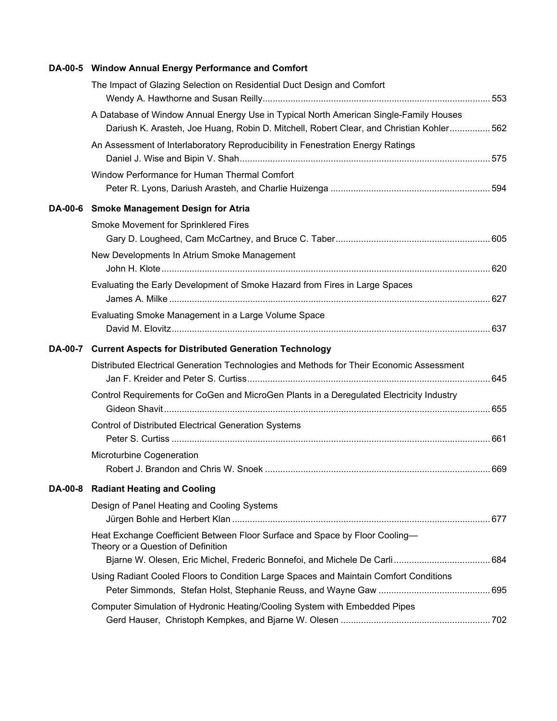|  | DA-00-5 Window Annual Energy Performance and Comfort                                                                                                                              |  |
|--|-----------------------------------------------------------------------------------------------------------------------------------------------------------------------------------|--|
|  | The Impact of Glazing Selection on Residential Duct Design and Comfort                                                                                                            |  |
|  | A Database of Window Annual Energy Use in Typical North American Single-Family Houses<br>Dariush K. Arasteh, Joe Huang, Robin D. Mitchell, Robert Clear, and Christian Kohler 562 |  |
|  | An Assessment of Interlaboratory Reproducibility in Fenestration Energy Ratings                                                                                                   |  |
|  | Window Performance for Human Thermal Comfort                                                                                                                                      |  |
|  | DA-00-6 Smoke Management Design for Atria                                                                                                                                         |  |
|  | Smoke Movement for Sprinklered Fires                                                                                                                                              |  |
|  |                                                                                                                                                                                   |  |
|  | New Developments In Atrium Smoke Management                                                                                                                                       |  |
|  | Evaluating the Early Development of Smoke Hazard from Fires in Large Spaces                                                                                                       |  |
|  | Evaluating Smoke Management in a Large Volume Space                                                                                                                               |  |
|  | DA-00-7 Current Aspects for Distributed Generation Technology                                                                                                                     |  |
|  | Distributed Electrical Generation Technologies and Methods for Their Economic Assessment                                                                                          |  |
|  | Control Requirements for CoGen and MicroGen Plants in a Deregulated Electricity Industry                                                                                          |  |
|  | <b>Control of Distributed Electrical Generation Systems</b>                                                                                                                       |  |
|  | Microturbine Cogeneration                                                                                                                                                         |  |
|  | DA-00-8 Radiant Heating and Cooling                                                                                                                                               |  |
|  | Design of Panel Heating and Cooling Systems                                                                                                                                       |  |
|  | Heat Exchange Coefficient Between Floor Surface and Space by Floor Cooling-<br>Theory or a Question of Definition                                                                 |  |
|  |                                                                                                                                                                                   |  |
|  | Using Radiant Cooled Floors to Condition Large Spaces and Maintain Comfort Conditions                                                                                             |  |
|  | Computer Simulation of Hydronic Heating/Cooling System with Embedded Pipes                                                                                                        |  |
|  |                                                                                                                                                                                   |  |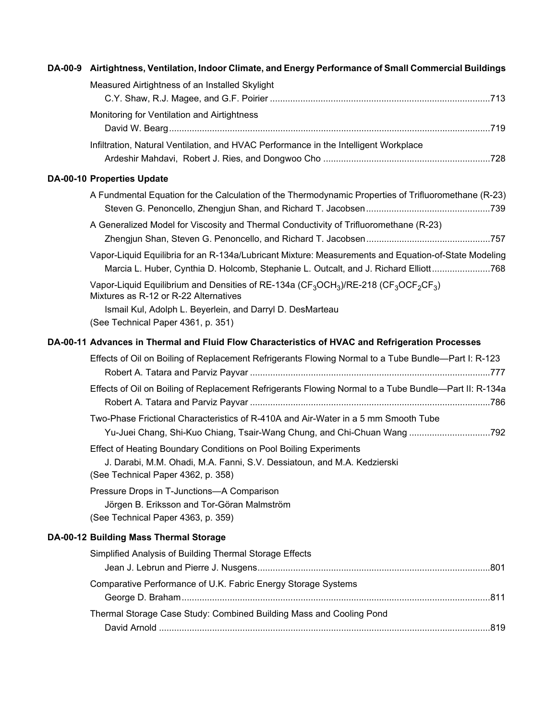|  | DA-00-9 Airtightness, Ventilation, Indoor Climate, and Energy Performance of Small Commercial Buildings                                                                                      |
|--|----------------------------------------------------------------------------------------------------------------------------------------------------------------------------------------------|
|  | Measured Airtightness of an Installed Skylight                                                                                                                                               |
|  | Monitoring for Ventilation and Airtightness                                                                                                                                                  |
|  | Infiltration, Natural Ventilation, and HVAC Performance in the Intelligent Workplace                                                                                                         |
|  | <b>DA-00-10 Properties Update</b>                                                                                                                                                            |
|  | A Fundmental Equation for the Calculation of the Thermodynamic Properties of Trifluoromethane (R-23)                                                                                         |
|  | A Generalized Model for Viscosity and Thermal Conductivity of Trifluoromethane (R-23)                                                                                                        |
|  | Vapor-Liquid Equilibria for an R-134a/Lubricant Mixture: Measurements and Equation-of-State Modeling<br>Marcia L. Huber, Cynthia D. Holcomb, Stephanie L. Outcalt, and J. Richard Elliott768 |
|  | Vapor-Liquid Equilibrium and Densities of RE-134a (CF <sub>3</sub> OCH <sub>3</sub> )/RE-218 (CF <sub>3</sub> OCF <sub>2</sub> CF <sub>3</sub> )<br>Mixtures as R-12 or R-22 Alternatives    |
|  | Ismail Kul, Adolph L. Beyerlein, and Darryl D. DesMarteau<br>(See Technical Paper 4361, p. 351)                                                                                              |
|  | DA-00-11 Advances in Thermal and Fluid Flow Characteristics of HVAC and Refrigeration Processes                                                                                              |
|  | Effects of Oil on Boiling of Replacement Refrigerants Flowing Normal to a Tube Bundle-Part I: R-123                                                                                          |
|  | Effects of Oil on Boiling of Replacement Refrigerants Flowing Normal to a Tube Bundle-Part II: R-134a                                                                                        |
|  | Two-Phase Frictional Characteristics of R-410A and Air-Water in a 5 mm Smooth Tube<br>Yu-Juei Chang, Shi-Kuo Chiang, Tsair-Wang Chung, and Chi-Chuan Wang 792                                |
|  | Effect of Heating Boundary Conditions on Pool Boiling Experiments<br>J. Darabi, M.M. Ohadi, M.A. Fanni, S.V. Dessiatoun, and M.A. Kedzierski<br>(See Technical Paper 4362, p. 358)           |
|  | Pressure Drops in T-Junctions-A Comparison<br>Jörgen B. Eriksson and Tor-Göran Malmström<br>(See Technical Paper 4363, p. 359)                                                               |
|  | DA-00-12 Building Mass Thermal Storage                                                                                                                                                       |
|  | Simplified Analysis of Building Thermal Storage Effects                                                                                                                                      |
|  | Comparative Performance of U.K. Fabric Energy Storage Systems                                                                                                                                |
|  | Thermal Storage Case Study: Combined Building Mass and Cooling Pond                                                                                                                          |